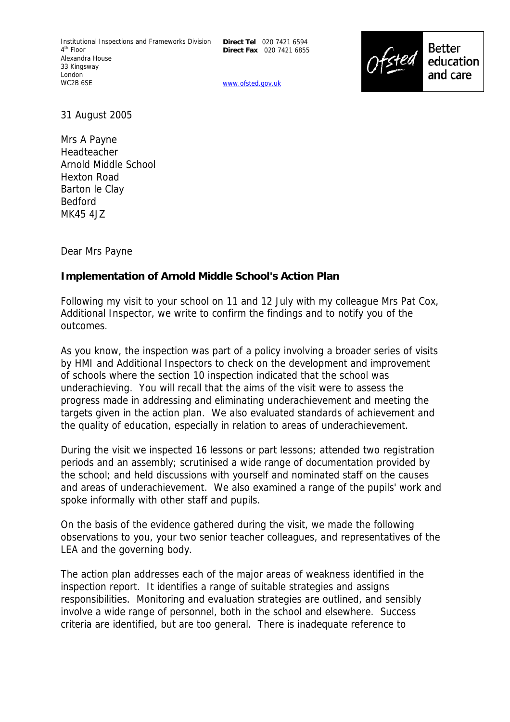**Direct Tel** 020 7421 6594 **Direct Fax** 020 7421 6855

www.ofsted.gov.uk



31 August 2005

Mrs A Payne Headteacher Arnold Middle School Hexton Road Barton le Clay Bedford MK45 4JZ

Dear Mrs Payne

## **Implementation of Arnold Middle School's Action Plan**

Following my visit to your school on 11 and 12 July with my colleague Mrs Pat Cox, Additional Inspector, we write to confirm the findings and to notify you of the outcomes.

As you know, the inspection was part of a policy involving a broader series of visits by HMI and Additional Inspectors to check on the development and improvement of schools where the section 10 inspection indicated that the school was underachieving. You will recall that the aims of the visit were to assess the progress made in addressing and eliminating underachievement and meeting the targets given in the action plan. We also evaluated standards of achievement and the quality of education, especially in relation to areas of underachievement.

During the visit we inspected 16 lessons or part lessons; attended two registration periods and an assembly; scrutinised a wide range of documentation provided by the school; and held discussions with yourself and nominated staff on the causes and areas of underachievement. We also examined a range of the pupils' work and spoke informally with other staff and pupils.

On the basis of the evidence gathered during the visit, we made the following observations to you, your two senior teacher colleagues, and representatives of the LEA and the governing body.

The action plan addresses each of the major areas of weakness identified in the inspection report. It identifies a range of suitable strategies and assigns responsibilities. Monitoring and evaluation strategies are outlined, and sensibly involve a wide range of personnel, both in the school and elsewhere. Success criteria are identified, but are too general. There is inadequate reference to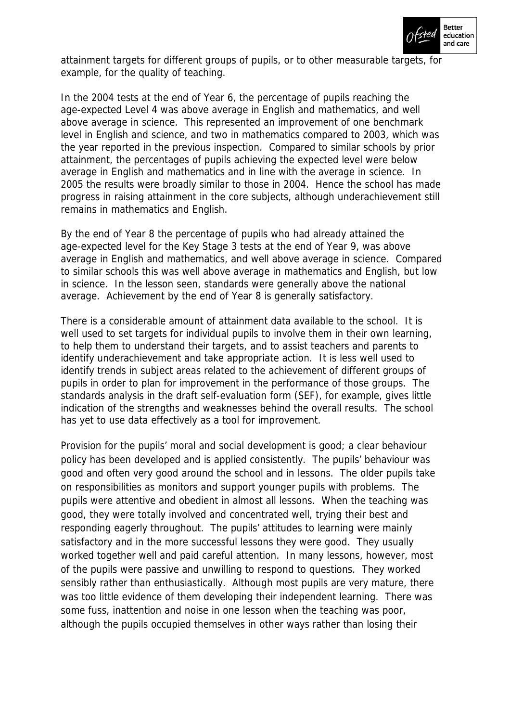

attainment targets for different groups of pupils, or to other measurable targets, for example, for the quality of teaching.

In the 2004 tests at the end of Year 6, the percentage of pupils reaching the age-expected Level 4 was above average in English and mathematics, and well above average in science. This represented an improvement of one benchmark level in English and science, and two in mathematics compared to 2003, which was the year reported in the previous inspection. Compared to similar schools by prior attainment, the percentages of pupils achieving the expected level were below average in English and mathematics and in line with the average in science. In 2005 the results were broadly similar to those in 2004. Hence the school has made progress in raising attainment in the core subjects, although underachievement still remains in mathematics and English.

By the end of Year 8 the percentage of pupils who had already attained the age-expected level for the Key Stage 3 tests at the end of Year 9, was above average in English and mathematics, and well above average in science. Compared to similar schools this was well above average in mathematics and English, but low in science. In the lesson seen, standards were generally above the national average. Achievement by the end of Year 8 is generally satisfactory.

There is a considerable amount of attainment data available to the school. It is well used to set targets for individual pupils to involve them in their own learning, to help them to understand their targets, and to assist teachers and parents to identify underachievement and take appropriate action. It is less well used to identify trends in subject areas related to the achievement of different groups of pupils in order to plan for improvement in the performance of those groups. The standards analysis in the draft self-evaluation form (SEF), for example, gives little indication of the strengths and weaknesses behind the overall results. The school has yet to use data effectively as a tool for improvement.

Provision for the pupils' moral and social development is good; a clear behaviour policy has been developed and is applied consistently. The pupils' behaviour was good and often very good around the school and in lessons. The older pupils take on responsibilities as monitors and support younger pupils with problems. The pupils were attentive and obedient in almost all lessons. When the teaching was good, they were totally involved and concentrated well, trying their best and responding eagerly throughout. The pupils' attitudes to learning were mainly satisfactory and in the more successful lessons they were good. They usually worked together well and paid careful attention. In many lessons, however, most of the pupils were passive and unwilling to respond to questions. They worked sensibly rather than enthusiastically. Although most pupils are very mature, there was too little evidence of them developing their independent learning. There was some fuss, inattention and noise in one lesson when the teaching was poor, although the pupils occupied themselves in other ways rather than losing their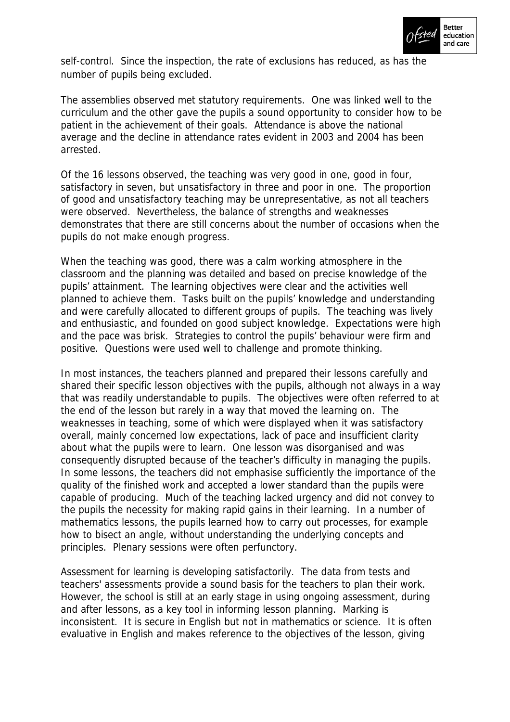

self-control. Since the inspection, the rate of exclusions has reduced, as has the number of pupils being excluded.

The assemblies observed met statutory requirements. One was linked well to the curriculum and the other gave the pupils a sound opportunity to consider how to be patient in the achievement of their goals. Attendance is above the national average and the decline in attendance rates evident in 2003 and 2004 has been arrested.

Of the 16 lessons observed, the teaching was very good in one, good in four, satisfactory in seven, but unsatisfactory in three and poor in one. The proportion of good and unsatisfactory teaching may be unrepresentative, as not all teachers were observed. Nevertheless, the balance of strengths and weaknesses demonstrates that there are still concerns about the number of occasions when the pupils do not make enough progress.

When the teaching was good, there was a calm working atmosphere in the classroom and the planning was detailed and based on precise knowledge of the pupils' attainment. The learning objectives were clear and the activities well planned to achieve them. Tasks built on the pupils' knowledge and understanding and were carefully allocated to different groups of pupils. The teaching was lively and enthusiastic, and founded on good subject knowledge. Expectations were high and the pace was brisk. Strategies to control the pupils' behaviour were firm and positive. Questions were used well to challenge and promote thinking.

In most instances, the teachers planned and prepared their lessons carefully and shared their specific lesson objectives with the pupils, although not always in a way that was readily understandable to pupils. The objectives were often referred to at the end of the lesson but rarely in a way that moved the learning on. The weaknesses in teaching, some of which were displayed when it was satisfactory overall, mainly concerned low expectations, lack of pace and insufficient clarity about what the pupils were to learn. One lesson was disorganised and was consequently disrupted because of the teacher's difficulty in managing the pupils. In some lessons, the teachers did not emphasise sufficiently the importance of the quality of the finished work and accepted a lower standard than the pupils were capable of producing. Much of the teaching lacked urgency and did not convey to the pupils the necessity for making rapid gains in their learning. In a number of mathematics lessons, the pupils learned how to carry out processes, for example how to bisect an angle, without understanding the underlying concepts and principles. Plenary sessions were often perfunctory.

Assessment for learning is developing satisfactorily. The data from tests and teachers' assessments provide a sound basis for the teachers to plan their work. However, the school is still at an early stage in using ongoing assessment, during and after lessons, as a key tool in informing lesson planning. Marking is inconsistent. It is secure in English but not in mathematics or science. It is often evaluative in English and makes reference to the objectives of the lesson, giving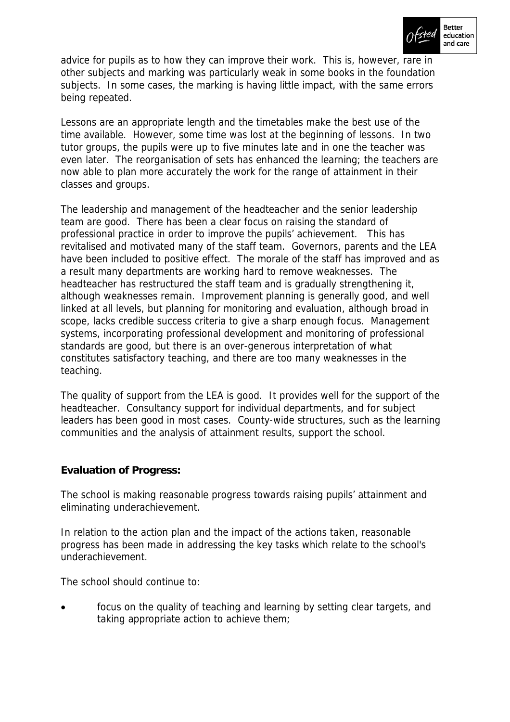

advice for pupils as to how they can improve their work. This is, however, rare in other subjects and marking was particularly weak in some books in the foundation subjects. In some cases, the marking is having little impact, with the same errors being repeated.

Lessons are an appropriate length and the timetables make the best use of the time available. However, some time was lost at the beginning of lessons. In two tutor groups, the pupils were up to five minutes late and in one the teacher was even later. The reorganisation of sets has enhanced the learning; the teachers are now able to plan more accurately the work for the range of attainment in their classes and groups.

The leadership and management of the headteacher and the senior leadership team are good. There has been a clear focus on raising the standard of professional practice in order to improve the pupils' achievement. This has revitalised and motivated many of the staff team. Governors, parents and the LEA have been included to positive effect. The morale of the staff has improved and as a result many departments are working hard to remove weaknesses. The headteacher has restructured the staff team and is gradually strengthening it, although weaknesses remain. Improvement planning is generally good, and well linked at all levels, but planning for monitoring and evaluation, although broad in scope, lacks credible success criteria to give a sharp enough focus. Management systems, incorporating professional development and monitoring of professional standards are good, but there is an over-generous interpretation of what constitutes satisfactory teaching, and there are too many weaknesses in the teaching.

The quality of support from the LEA is good. It provides well for the support of the headteacher. Consultancy support for individual departments, and for subject leaders has been good in most cases. County-wide structures, such as the learning communities and the analysis of attainment results, support the school.

## **Evaluation of Progress:**

The school is making reasonable progress towards raising pupils' attainment and eliminating underachievement.

In relation to the action plan and the impact of the actions taken, reasonable progress has been made in addressing the key tasks which relate to the school's underachievement.

The school should continue to:

focus on the quality of teaching and learning by setting clear targets, and taking appropriate action to achieve them;